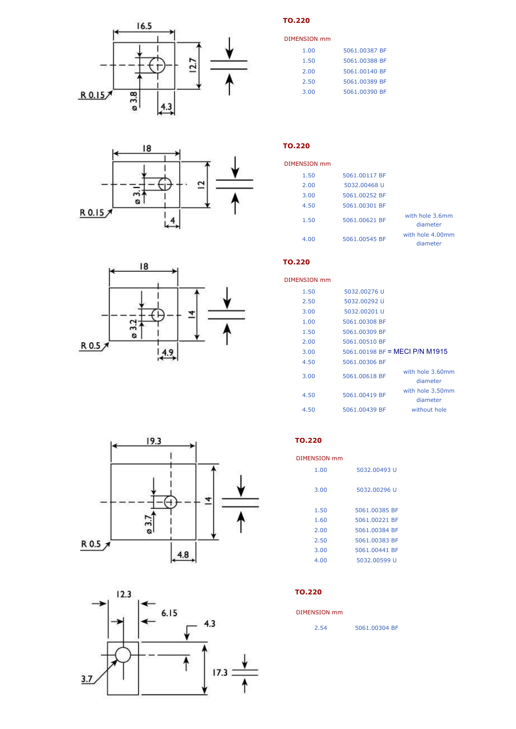







| DIMENSION mm |               |
|--------------|---------------|
| 1.00         | 5061.00387 BF |
| 1.50         | 5061.00388 BF |
| 2.00         | 5061.00140 BF |
| 2.50         | 5061.00389 BF |
| 3.00         | 5061.00390 BF |

### **TO.220**

| DIMENSION mm |               |                              |
|--------------|---------------|------------------------------|
| 1.50         | 5061.00117 BF |                              |
| 2.00         | 5032.00468 U  |                              |
| 3.00         | 5061.00252 BF |                              |
| 4.50         | 5061.00301 BF |                              |
| 1.50         | 5061.00621 BF | with hole 3.6mm<br>diameter  |
| 4.00         | 5061.00545 BF | with hole 4.00mm<br>diameter |

### **TO.220**

| DIMENSION mm |               |                                |
|--------------|---------------|--------------------------------|
| 1.50         | 5032.00276 U  |                                |
| 2.50         | 5032.00292 U  |                                |
| 3.00         | 5032.00201 U  |                                |
| 1.00         | 5061.00308 BF |                                |
| 1.50         | 5061.00309 BF |                                |
| 2.00         | 5061.00510 BF |                                |
| 3.00         |               | 5061,00198 BF = MFCI P/N M1915 |
| 4.50         | 5061.00306 BF |                                |
| 3.00         | 5061.00618 BF | with hole 3.60mm<br>diameter   |
| 4.50         | 5061.00419 BF | with hole 3.50mm<br>diameter   |
| 4.50         | 5061.00439 BF | without hole                   |





### **TO.220**

| <b>DIMENSION mm</b> |               |
|---------------------|---------------|
| 1.00                | 5032.00493 U  |
| 3.00                | 5032.00296 U  |
| 1.50                | 5061.00385 BF |
| 1.60                | 5061.00221 BF |
| 2.00                | 5061.00384 BF |
| 2.50                | 5061.00383 BF |
| 3.00                | 5061.00441 BF |
| 4.00                | 5032.00599 U  |

### **TO.220**

#### DIMENSION mm

| 2.54 | 5061.00304 BF |  |
|------|---------------|--|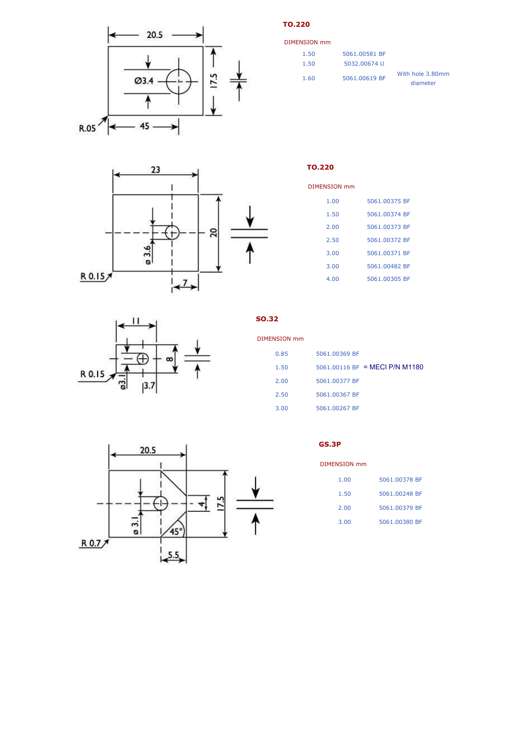

**TO.220**

**TO.220**

| DIMENSION mm |               |                              |
|--------------|---------------|------------------------------|
| 1.50         | 5061.00581 BF |                              |
| 1.50         | 5032.00674 U  |                              |
| 1.60         | 5061.00619 BF | With hole 3.80mm<br>diameter |



| DIMENSION mm |               |
|--------------|---------------|
| 1.00         | 5061.00375 BF |
| 1.50         | 5061.00374 BF |
| 2.00         | 5061.00373 BF |
| 2.50         | 5061.00372 BF |
| 3.00         | 5061.00371 BF |
| 3.00         | 5061.00482 BF |
| 4.00         | 5061.00305 BF |



**SO.32**

| DIMENSION mm |                                |
|--------------|--------------------------------|
| 0.85         | 5061.00369 BF                  |
| 1.50         | 5061.00116 BF = MECI P/N M1180 |
| 2.00         | 5061.00377 BF                  |
| 2.50         | 5061.00367 BF                  |
| 3.00         | 5061.00267 BF                  |



**GS.3P**

DIMENSION mm

| 1.00 | 5061.00378 BF |  |
|------|---------------|--|
| 1.50 | 5061.00248 BF |  |
| 2.00 | 5061.00379 BF |  |
| 3.00 | 5061.00380 BF |  |
|      |               |  |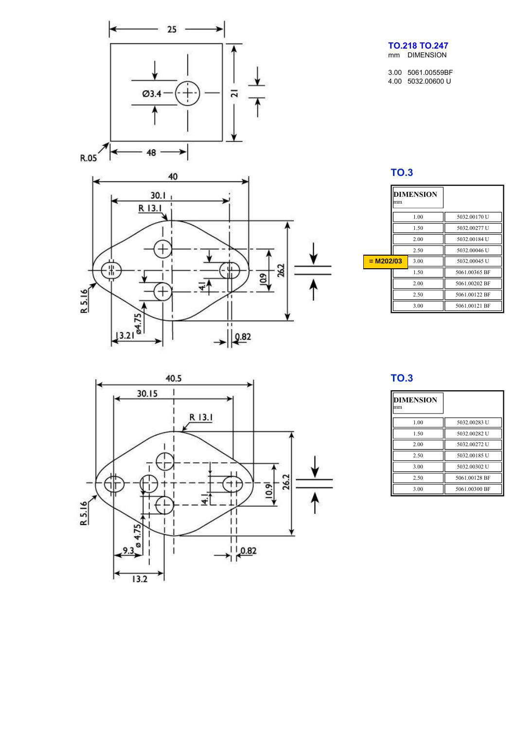

帯

R.5.16

у

 $\sqrt{\frac{13.218}{}}$ 

 $^{+}$ 

### **TO.218 TO.247** mm DIMENSION

3.00 5061.00559BF 4.00 5032.00600 U

## **TO.3**

|             | <b>DIMENSION</b><br>lmm |      |               |
|-------------|-------------------------|------|---------------|
|             |                         | 1.00 | 5032.00170 U  |
|             |                         | 1.50 | 5032.00277 U  |
|             |                         | 2.00 | 5032.00184 U  |
|             |                         | 2.50 | 5032.00046 U  |
| $= M202/03$ |                         | 3.00 | 5032.00045 U  |
|             |                         | 1.50 | 5061 00365 BF |
|             |                         | 2.00 | 5061.00202 BF |
|             |                         | 2.50 | 5061.00122 BF |
|             | 3.00                    |      | 5061.00121 BF |



ᠯ

 $\left|\frac{\rho.82}{2}\right|$ 

262

109

## **TO.3**

| <b>DIMENSION</b><br>lmm |               |
|-------------------------|---------------|
| 1.00                    | 5032.00283 U  |
| 1.50                    | 5032.00282 U  |
| 2.00                    | 5032.00272 U  |
| 2.50                    | 5032.00185 U  |
| 3.00                    | 5032.00302 U  |
| 2.50                    | 5061.00128 BF |
| 3.00                    | 5061.00300 BF |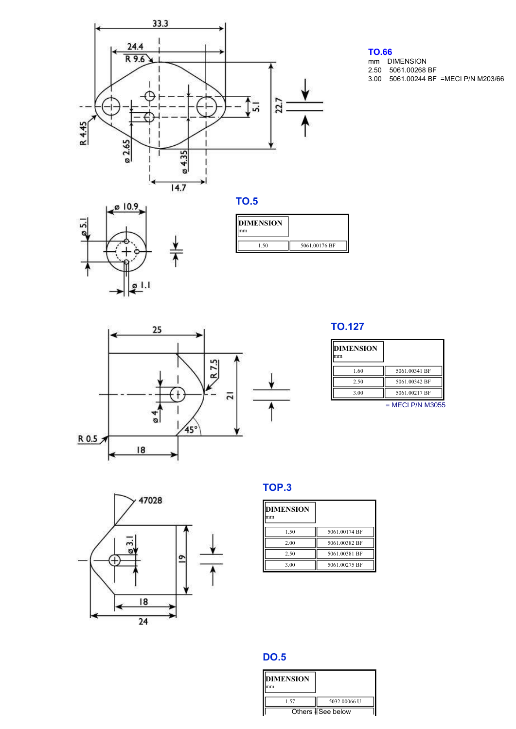

## **TO.66**

3.00 5061.00244 BF =MECI P/N M203/66 2.50 5061.00268 BF mm DIMENSION





# 25 R<sub>75</sub> ÷۴  $\overline{2}$  $\overline{a}$  $45^\circ$  $R$  0.5  $|8$

## **TO.127**

| <b>DIMENSION</b><br>mm |               |
|------------------------|---------------|
| 1.60                   | 5061.00341 BF |
| 2.50                   | 5061.00342 BF |
| 3.00                   | 5061.00217 BF |

 $=$  MECI P/N M3055



# **TOP.3**

| <b>DIMENSION</b><br>mm |               |
|------------------------|---------------|
| 1.50                   | 5061.00174 BF |
| 2.00                   | 5061 00382 BF |
| 2.50                   | 5061.00381 BF |
| 3.00                   | 5061.00275 BF |

## **DO.5**

| <b>DIMENSION</b><br>١m |                   |
|------------------------|-------------------|
| 1.57                   | 5032,00066 U      |
|                        | Others ISee below |